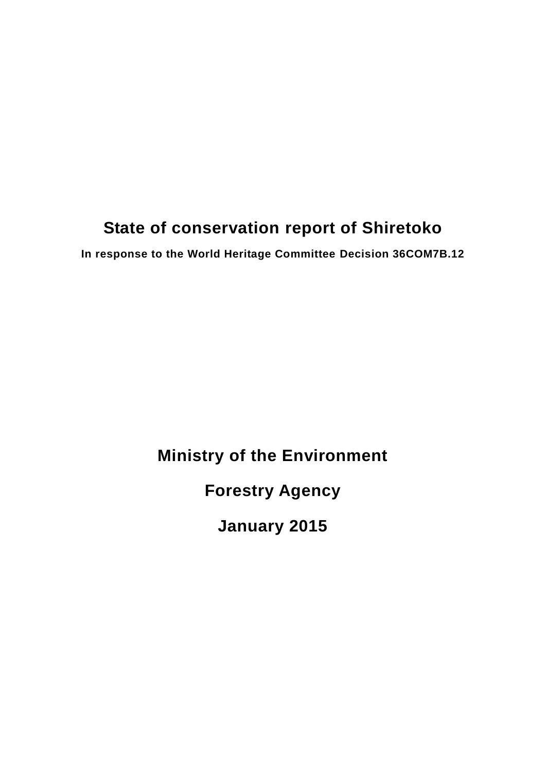# **State of conservation report of Shiretoko**

**In response to the World Heritage Committee Decision 36COM7B.12**

## **Ministry of the Environment**

**Forestry Agency**

**January 2015**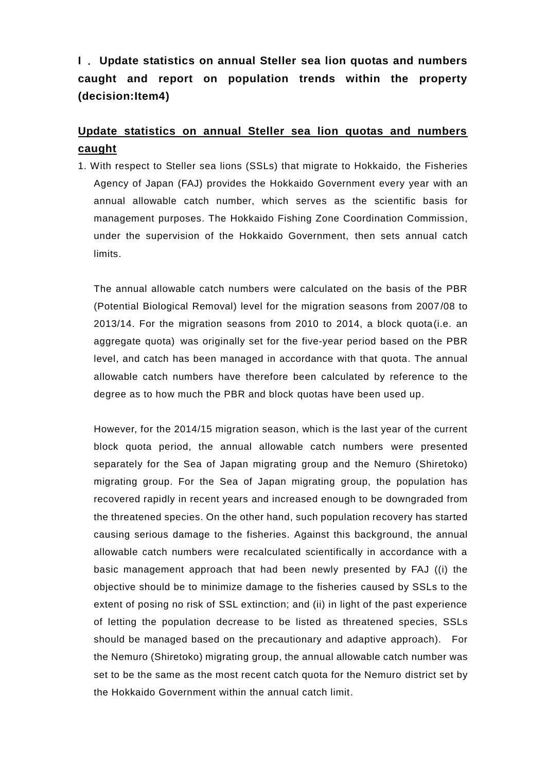**I** .**Update statistics on annual Steller sea lion quotas and numbers caught and report on population trends within the property (decision:Item4)**

### **Update statistics on annual Steller sea lion quotas and numbers caught**

1. With respect to Steller sea lions (SSLs) that migrate to Hokkaido, the Fisheries Agency of Japan (FAJ) provides the Hokkaido Government every year with an annual allowable catch number, which serves as the scientific basis for management purposes. The Hokkaido Fishing Zone Coordination Commission, under the supervision of the Hokkaido Government, then sets annual catch limits.

The annual allowable catch numbers were calculated on the basis of the PBR (Potential Biological Removal) level for the migration seasons from 2007/08 to 2013/14. For the migration seasons from 2010 to 2014, a block quota(i.e. an aggregate quota) was originally set for the five-year period based on the PBR level, and catch has been managed in accordance with that quota. The annual allowable catch numbers have therefore been calculated by reference to the degree as to how much the PBR and block quotas have been used up.

However, for the 2014/15 migration season, which is the last year of the current block quota period, the annual allowable catch numbers were presented separately for the Sea of Japan migrating group and the Nemuro (Shiretoko) migrating group. For the Sea of Japan migrating group, the population has recovered rapidly in recent years and increased enough to be downgraded from the threatened species. On the other hand, such population recovery has started causing serious damage to the fisheries. Against this background, the annual allowable catch numbers were recalculated scientifically in accordance with a basic management approach that had been newly presented by FAJ ((i) the objective should be to minimize damage to the fisheries caused by SSLs to the extent of posing no risk of SSL extinction; and (ii) in light of the past experience of letting the population decrease to be listed as threatened species, SSLs should be managed based on the precautionary and adaptive approach). For the Nemuro (Shiretoko) migrating group, the annual allowable catch number was set to be the same as the most recent catch quota for the Nemuro district set by the Hokkaido Government within the annual catch limit.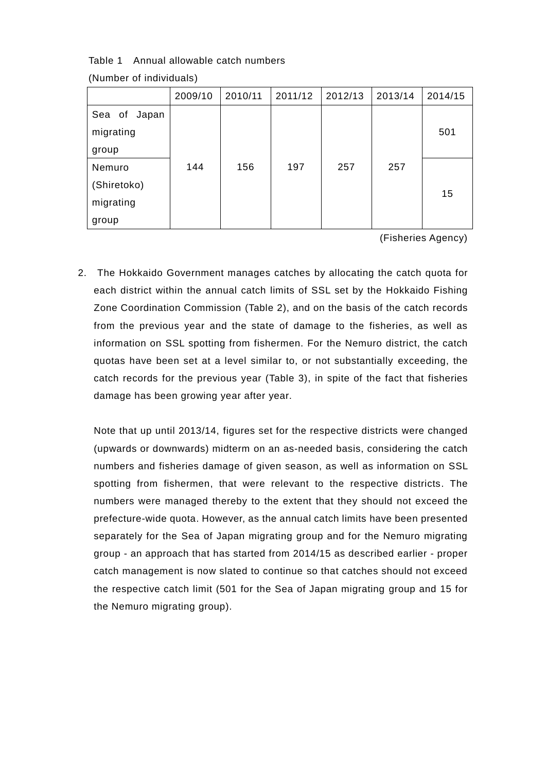Table 1 Annual allowable catch numbers

|                                             | 2009/10 | 2010/11 | 2011/12 | 2012/13 | 2013/14 | 2014/15 |
|---------------------------------------------|---------|---------|---------|---------|---------|---------|
| Sea of Japan<br>migrating<br>group          |         |         |         |         |         | 501     |
| Nemuro<br>(Shiretoko)<br>migrating<br>group | 144     | 156     | 197     | 257     | 257     | 15      |

(Number of individuals)

(Fisheries Agency)

2. The Hokkaido Government manages catches by allocating the catch quota for each district within the annual catch limits of SSL set by the Hokkaido Fishing Zone Coordination Commission (Table 2), and on the basis of the catch records from the previous year and the state of damage to the fisheries, as well as information on SSL spotting from fishermen. For the Nemuro district, the catch quotas have been set at a level similar to, or not substantially exceeding, the catch records for the previous year (Table 3), in spite of the fact that fisheries damage has been growing year after year.

Note that up until 2013/14, figures set for the respective districts were changed (upwards or downwards) midterm on an as-needed basis, considering the catch numbers and fisheries damage of given season, as well as information on SSL spotting from fishermen, that were relevant to the respective districts. The numbers were managed thereby to the extent that they should not exceed the prefecture-wide quota. However, as the annual catch limits have been presented separately for the Sea of Japan migrating group and for the Nemuro migrating group - an approach that has started from 2014/15 as described earlier - proper catch management is now slated to continue so that catches should not exceed the respective catch limit (501 for the Sea of Japan migrating group and 15 for the Nemuro migrating group).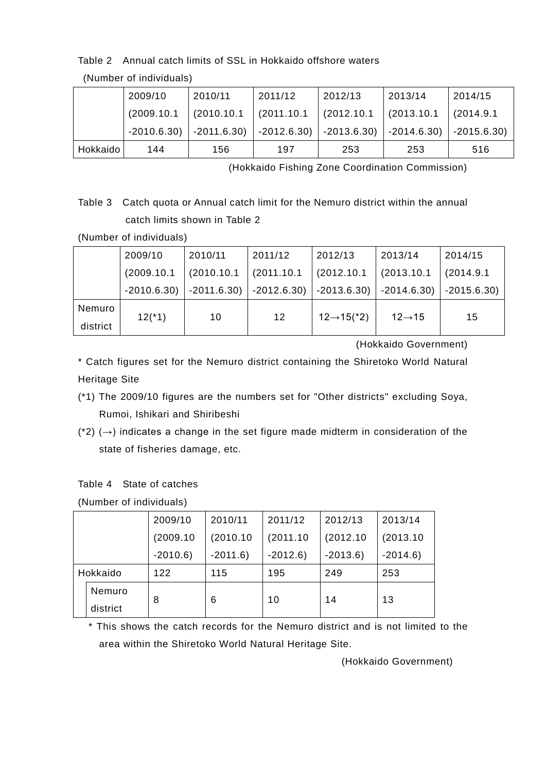### Table 2 Annual catch limits of SSL in Hokkaido offshore waters

|          | 2009/10     | 2010/11                                             | 2011/12     | 2012/13     | 2013/14                                 | 2014/15    |
|----------|-------------|-----------------------------------------------------|-------------|-------------|-----------------------------------------|------------|
|          | (2009.10.1) | (2010.10.1)                                         | (2011.10.1) | (2012.10.1) | (2013.10.1)                             | (2014.9.1) |
|          |             | $-2010.6.30$ $-2011.6.30$ $-2012.6.30$ $-2013.6.30$ |             |             | $\vert$ -2014.6.30) $\vert$ -2015.6.30) |            |
| Hokkaido | 144         | 156                                                 | 197         | 253         | 253                                     | 516        |

(Number of individuals)

(Hokkaido Fishing Zone Coordination Commission)

Table 3 Catch quota or Annual catch limit for the Nemuro district within the annual catch limits shown in Table 2

(Number of individuals)

|          | 2009/10      | 2010/11     | 2011/12     | 2012/13                                                                         | 2013/14             | 2014/15        |
|----------|--------------|-------------|-------------|---------------------------------------------------------------------------------|---------------------|----------------|
|          | (2009.10.1)  | (2010.10.1) | (2011.10.1) | (2012.10.1)                                                                     | (2013.10.1)         | (2014.9.1)     |
|          | $-2010.6.30$ |             |             | $\vert$ -2011.6.30) $\vert$ -2012.6.30) $\vert$ -2013.6.30) $\vert$ -2014.6.30) |                     | $ -2015.6.30 $ |
| Nemuro   | $12(*)$      | 10          | 12          | $12 \rightarrow 15$ <sup>*</sup> 2)                                             | $12 \rightarrow 15$ | 15             |
| district |              |             |             |                                                                                 |                     |                |

(Hokkaido Government)

\* Catch figures set for the Nemuro district containing the Shiretoko World Natural Heritage Site

- (\*1) The 2009/10 figures are the numbers set for "Other districts" excluding Soya, Rumoi, Ishikari and Shiribeshi
- (\*2) ( $\rightarrow$ ) indicates a change in the set figure made midterm in consideration of the state of fisheries damage, etc.

Table 4 State of catches

|          | 2009/10   | 2010/11   | 2011/12   | 2012/13   | 2013/14   |
|----------|-----------|-----------|-----------|-----------|-----------|
|          | (2009.10) | (2010.10) | (2011.10) | (2012.10  | (2013.10) |
|          | $-2010.6$ | $-2011.6$ | $-2012.6$ | $-2013.6$ | $-2014.6$ |
| Hokkaido | 122       | 115       | 195       | 249       | 253       |
| Nemuro   | 8         | 6         | 10        | 14        | 13        |
| district |           |           |           |           |           |

\* This shows the catch records for the Nemuro district and is not limited to the area within the Shiretoko World Natural Heritage Site.

(Hokkaido Government)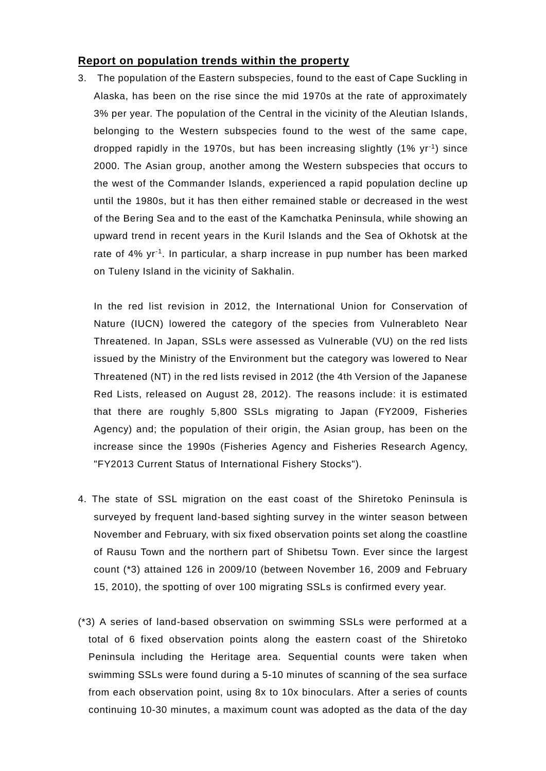#### **Report on population trends within the property**

3. The population of the Eastern subspecies, found to the east of Cape Suckling in Alaska, has been on the rise since the mid 1970s at the rate of approximately 3% per year. The population of the Central in the vicinity of the Aleutian Islands, belonging to the Western subspecies found to the west of the same cape, dropped rapidly in the 1970s, but has been increasing slightly (1% yr-1 ) since 2000. The Asian group, another among the Western subspecies that occurs to the west of the Commander Islands, experienced a rapid population decline up until the 1980s, but it has then either remained stable or decreased in the west of the Bering Sea and to the east of the Kamchatka Peninsula, while showing an upward trend in recent years in the Kuril Islands and the Sea of Okhotsk at the rate of 4% yr<sup>-1</sup>. In particular, a sharp increase in pup number has been marked on Tuleny Island in the vicinity of Sakhalin.

In the red list revision in 2012, the International Union for Conservation of Nature (IUCN) lowered the category of the species from Vulnerableto Near Threatened. In Japan, SSLs were assessed as Vulnerable (VU) on the red lists issued by the Ministry of the Environment but the category was lowered to Near Threatened (NT) in the red lists revised in 2012 (the 4th Version of the Japanese Red Lists, released on August 28, 2012). The reasons include: it is estimated that there are roughly 5,800 SSLs migrating to Japan (FY2009, Fisheries Agency) and; the population of their origin, the Asian group, has been on the increase since the 1990s (Fisheries Agency and Fisheries Research Agency, "FY2013 Current Status of International Fishery Stocks").

- 4. The state of SSL migration on the east coast of the Shiretoko Peninsula is surveyed by frequent land-based sighting survey in the winter season between November and February, with six fixed observation points set along the coastline of Rausu Town and the northern part of Shibetsu Town. Ever since the largest count (\*3) attained 126 in 2009/10 (between November 16, 2009 and February 15, 2010), the spotting of over 100 migrating SSLs is confirmed every year.
- (\*3) A series of land-based observation on swimming SSLs were performed at a total of 6 fixed observation points along the eastern coast of the Shiretoko Peninsula including the Heritage area. Sequential counts were taken when swimming SSLs were found during a 5-10 minutes of scanning of the sea surface from each observation point, using 8x to 10x binoculars. After a series of counts continuing 10-30 minutes, a maximum count was adopted as the data of the day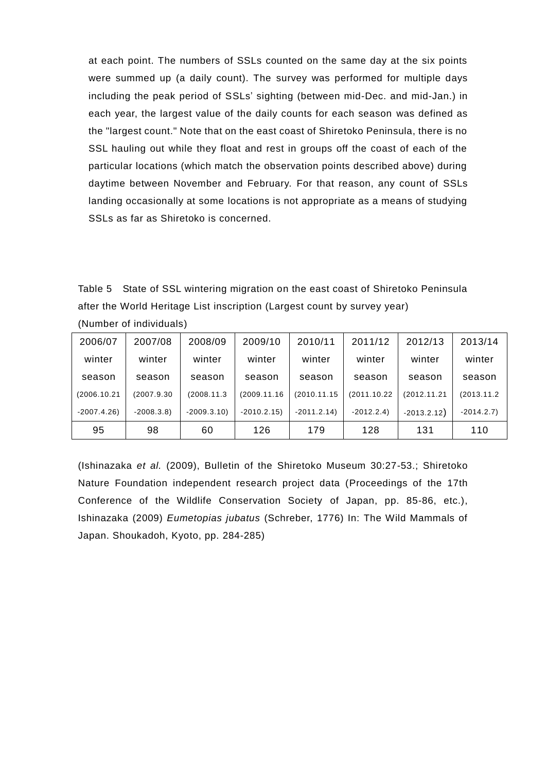at each point. The numbers of SSLs counted on the same day at the six points were summed up (a daily count). The survey was performed for multiple days including the peak period of SSLs' sighting (between mid-Dec. and mid-Jan.) in each year, the largest value of the daily counts for each season was defined as the "largest count." Note that on the east coast of Shiretoko Peninsula, there is no SSL hauling out while they float and rest in groups off the coast of each of the particular locations (which match the observation points described above) during daytime between November and February. For that reason, any count of SSLs landing occasionally at some locations is not appropriate as a means of studying SSLs as far as Shiretoko is concerned.

Table 5 State of SSL wintering migration on the east coast of Shiretoko Peninsula after the World Heritage List inscription (Largest count by survey year)

| 2006/07      | 2007/08     | 2008/09      | 2009/10      | 2010/11      | 2011/12      | 2012/13       | 2013/14     |
|--------------|-------------|--------------|--------------|--------------|--------------|---------------|-------------|
| winter       | winter      | winter       | winter       | winter       | winter       | winter        | winter      |
| season       | season      | season       | season       | season       | season       | season        | season      |
| (2006.10.21) | (2007.9.30) | (2008.11.3)  | (2009.11.16  | (2010.11.15  | (2011.10.22) | (2012.11.21   | (2013.11.2) |
| $-2007.4.26$ | $-2008.3.8$ | $-2009.3.10$ | $-2010.2.15$ | $-2011.2.14$ | $-2012.2.4$  | $-2013.2.12)$ | $-2014.2.7$ |
| 95           | 98          | 60           | 126          | 179          | 128          | 131           | 110         |

(Number of individuals)

(Ishinazaka *et al.* (2009), Bulletin of the Shiretoko Museum 30:27-53.; Shiretoko Nature Foundation independent research project data (Proceedings of the 17th Conference of the Wildlife Conservation Society of Japan, pp. 85-86, etc.), Ishinazaka (2009) *Eumetopias jubatus* (Schreber, 1776) In: The Wild Mammals of Japan. Shoukadoh, Kyoto, pp. 284-285)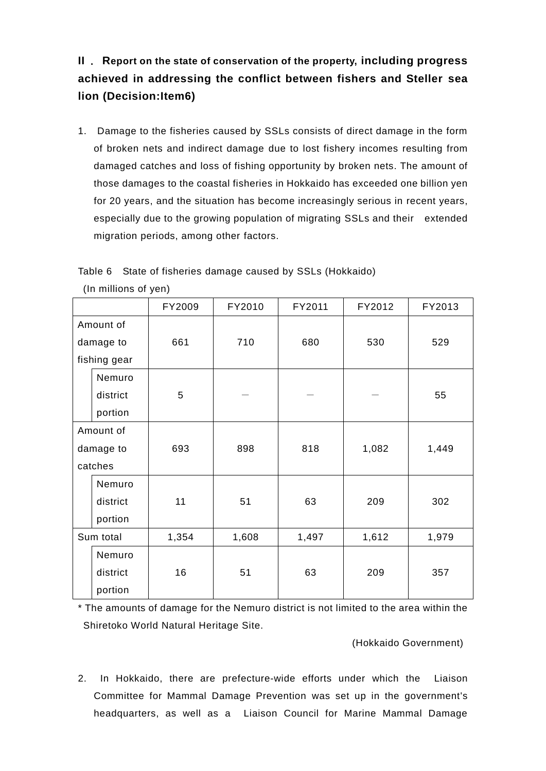**II** .**Report on the state of conservation of the property, including progress achieved in addressing the conflict between fishers and Steller sea lion (Decision:Item6)**

1. Damage to the fisheries caused by SSLs consists of direct damage in the form of broken nets and indirect damage due to lost fishery incomes resulting from damaged catches and loss of fishing opportunity by broken nets. The amount of those damages to the coastal fisheries in Hokkaido has exceeded one billion yen for 20 years, and the situation has become increasingly serious in recent years, especially due to the growing population of migrating SSLs and their extended migration periods, among other factors.

Table 6 State of fisheries damage caused by SSLs (Hokkaido)

|           |              | FY2009 | FY2010 | FY2011 | FY2012 | FY2013 |
|-----------|--------------|--------|--------|--------|--------|--------|
| Amount of |              |        |        |        |        |        |
|           | damage to    | 661    | 710    | 680    | 530    | 529    |
|           | fishing gear |        |        |        |        |        |
|           | Nemuro       |        |        |        |        |        |
|           | district     | 5      |        |        |        | 55     |
|           | portion      |        |        |        |        |        |
| Amount of |              |        |        |        |        |        |
|           | damage to    | 693    | 898    | 818    | 1,082  | 1,449  |
| catches   |              |        |        |        |        |        |
|           | Nemuro       |        |        |        |        |        |
|           | district     | 11     | 51     | 63     | 209    | 302    |
|           | portion      |        |        |        |        |        |
| Sum total |              | 1,354  | 1,608  | 1,497  | 1,612  | 1,979  |
|           | Nemuro       |        |        |        |        |        |
|           | district     | 16     | 51     | 63     | 209    | 357    |
|           | portion      |        |        |        |        |        |

(In millions of yen)

\* The amounts of damage for the Nemuro district is not limited to the area within the Shiretoko World Natural Heritage Site.

(Hokkaido Government)

2. In Hokkaido, there are prefecture-wide efforts under which the Liaison Committee for Mammal Damage Prevention was set up in the government's headquarters, as well as a Liaison Council for Marine Mammal Damage